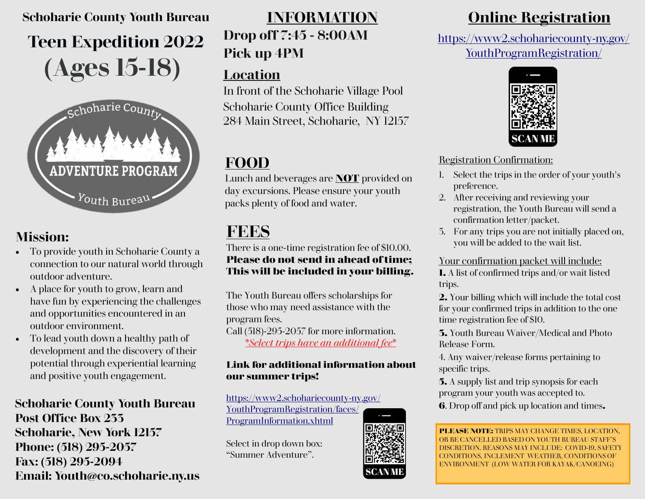# **Teen Expedition 2022 (Ages 15-18) Schoharie County Youth Bureau**



## **Mission:**

- To provide youth in Schoharie County a connection to our natural world through outdoor adventure.
- A place for youth to grow, learn and have fun by experiencing the challenges and opportunities encountered in an outdoor environment.
- To lead youth down a healthy path of development and the discovery of their potential through experiential learning and positive youth engagement.

### **Schoharie County Youth Bureau Post Office Box 233 Schoharie, New York 12157 Phone: (518) 295-2057 Fax: (518) 295-2094 Email: Youth@co.schoharie.ny.us**

# **Drop off 7:45 - 8:00AM**

# **Pick up 4PM**

### **Location**

In front of the Schoharie Village Pool Schoharie County Office Building 284 Main Street, Schoharie, NY 12157

# **FOOD**

Lunch and beverages are **NOT** provided on day excursions. Please ensure your youth packs plenty of food and water.

# **FEES**

There is a one-time registration fee of \$10.00. **Please do not send in ahead of time; This will be included in your billing.**

The Youth Bureau offers scholarships for those who may need assistance with the program fees. Call (518)-295-2057 for more information.

\**Select trips have an additional fee*\*

### **Link for additional information about our summer trips!**

[https://www2.schohariecounty](https://www2.schohariecounty-ny.gov/YouthProgramRegistration/faces/ProgramInformation.xhtml)-ny.gov/ [YouthProgramRegistration/faces/](https://www2.schohariecounty-ny.gov/YouthProgramRegistration/faces/ProgramInformation.xhtml) [ProgramInformation.xhtml](https://www2.schohariecounty-ny.gov/YouthProgramRegistration/faces/ProgramInformation.xhtml)

Select in drop down box: "Summer Adventure".



# **INFORMATION Online Registration**

[https://www2.schohariecounty](https://www2.schohariecounty-ny.gov/YouthProgramRegistration/)-ny.gov/ [YouthProgramRegistration/](https://www2.schohariecounty-ny.gov/YouthProgramRegistration/)



### Registration Confirmation:

- 1. Select the trips in the order of your youth's preference.
- 2. After receiving and reviewing your registration, the Youth Bureau will send a confirmation letter/packet.
- 3. For any trips you are not initially placed on, you will be added to the wait list.

### Your confirmation packet will include:

**1.** A list of confirmed trips and/or wait listed trips.

**2.** Your billing which will include the total cost for your confirmed trips in addition to the one time registration fee of \$10.

**3.** Youth Bureau Waiver/Medical and Photo Release Form.

4. Any waiver/release forms pertaining to specific trips.

**5.** A supply list and trip synopsis for each program your youth was accepted to.

**6**. Drop off and pick up location and times**.**

**PLEASE NOTE:** TRIPS MAY CHANGE TIMES, LOCATION, OR BE CANCELLED BASED ON YOUTH BUREAU STAFF'S DISCRETION. REASONS MAY INCLUDE: COVID-19, SAFETY CONDITIONS, INCLEMENT WEATHER, CONDITIONS OF ENVIRONMENT (LOW WATER FOR KAYAK/CANOEING)